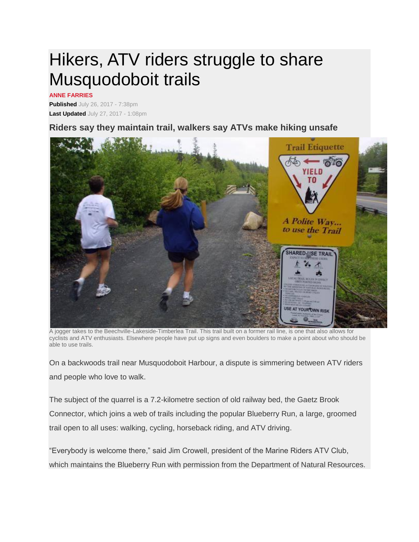## Hikers, ATV riders struggle to share Musquodoboit trails

## **ANNE FARRIES**

**Published** July 26, 2017 - 7:38pm **Last Updated** July 27, 2017 - 1:08pm

## **Riders say they maintain trail, walkers say ATVs make hiking unsafe**



A jogger takes to the Beechville-Lakeside-Timberlea Trail. This trail built on a former rail line, is one that also allows for cyclists and ATV enthusiasts. Elsewhere people have put up signs and even boulders to make a point about who should be able to use trails.

On a backwoods trail near Musquodoboit Harbour, a dispute is simmering between ATV riders and people who love to walk.

The subject of the quarrel is a 7.2-kilometre section of old railway bed, the Gaetz Brook Connector, which joins a web of trails including the popular Blueberry Run, a large, groomed trail open to all uses: walking, cycling, horseback riding, and ATV driving.

"Everybody is welcome there," said Jim Crowell, president of the Marine Riders ATV Club, which maintains the Blueberry Run with permission from the Department of Natural Resources.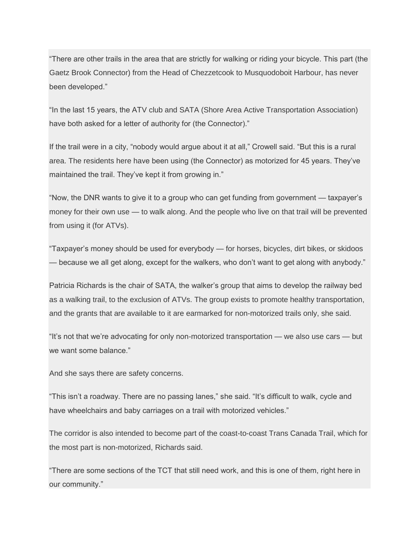"There are other trails in the area that are strictly for walking or riding your bicycle. This part (the Gaetz Brook Connector) from the Head of Chezzetcook to Musquodoboit Harbour, has never been developed."

"In the last 15 years, the ATV club and SATA (Shore Area Active Transportation Association) have both asked for a letter of authority for (the Connector)."

If the trail were in a city, "nobody would argue about it at all," Crowell said. "But this is a rural area. The residents here have been using (the Connector) as motorized for 45 years. They've maintained the trail. They've kept it from growing in."

"Now, the DNR wants to give it to a group who can get funding from government — taxpayer's money for their own use — to walk along. And the people who live on that trail will be prevented from using it (for ATVs).

"Taxpayer's money should be used for everybody — for horses, bicycles, dirt bikes, or skidoos — because we all get along, except for the walkers, who don't want to get along with anybody."

Patricia Richards is the chair of SATA, the walker's group that aims to develop the railway bed as a walking trail, to the exclusion of ATVs. The group exists to promote healthy transportation, and the grants that are available to it are earmarked for non-motorized trails only, she said.

"It's not that we're advocating for only non-motorized transportation — we also use cars — but we want some balance."

And she says there are safety concerns.

"This isn't a roadway. There are no passing lanes," she said. "It's difficult to walk, cycle and have wheelchairs and baby carriages on a trail with motorized vehicles."

The corridor is also intended to become part of the coast-to-coast Trans Canada Trail, which for the most part is non-motorized, Richards said.

"There are some sections of the TCT that still need work, and this is one of them, right here in our community."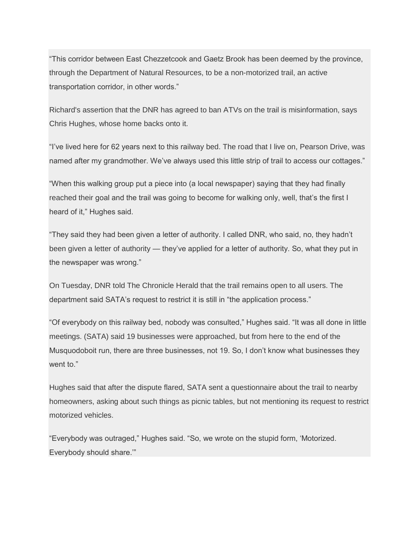"This corridor between East Chezzetcook and Gaetz Brook has been deemed by the province, through the Department of Natural Resources, to be a non-motorized trail, an active transportation corridor, in other words."

Richard's assertion that the DNR has agreed to ban ATVs on the trail is misinformation, says Chris Hughes, whose home backs onto it.

"I've lived here for 62 years next to this railway bed. The road that I live on, Pearson Drive, was named after my grandmother. We've always used this little strip of trail to access our cottages."

"When this walking group put a piece into (a local newspaper) saying that they had finally reached their goal and the trail was going to become for walking only, well, that's the first I heard of it," Hughes said.

"They said they had been given a letter of authority. I called DNR, who said, no, they hadn't been given a letter of authority — they've applied for a letter of authority. So, what they put in the newspaper was wrong."

On Tuesday, DNR told The Chronicle Herald that the trail remains open to all users. The department said SATA's request to restrict it is still in "the application process."

"Of everybody on this railway bed, nobody was consulted," Hughes said. "It was all done in little meetings. (SATA) said 19 businesses were approached, but from here to the end of the Musquodoboit run, there are three businesses, not 19. So, I don't know what businesses they went to."

Hughes said that after the dispute flared, SATA sent a questionnaire about the trail to nearby homeowners, asking about such things as picnic tables, but not mentioning its request to restrict motorized vehicles.

"Everybody was outraged," Hughes said. "So, we wrote on the stupid form, 'Motorized. Everybody should share.'"